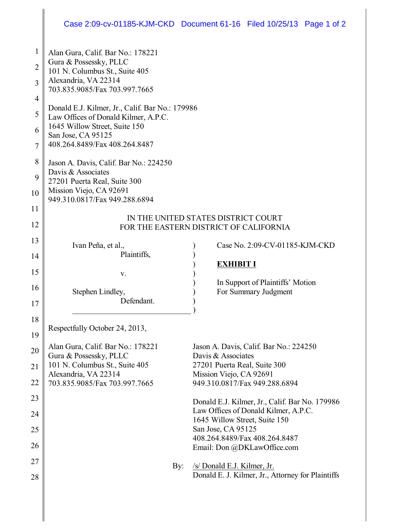## Case 2:09-cv-01185-KJM-CKD Document 61-16 Filed 10/25/13 Page 1 of 2

| 1              | Alan Gura, Calif. Bar No.: 178221                            |                                                              |  |  |  |  |  |
|----------------|--------------------------------------------------------------|--------------------------------------------------------------|--|--|--|--|--|
| $\overline{2}$ | Gura & Possessky, PLLC                                       |                                                              |  |  |  |  |  |
|                | 101 N. Columbus St., Suite 405                               |                                                              |  |  |  |  |  |
| 3              | Alexandria, VA 22314<br>703.835.9085/Fax 703.997.7665        |                                                              |  |  |  |  |  |
| $\overline{4}$ |                                                              |                                                              |  |  |  |  |  |
|                | Donald E.J. Kilmer, Jr., Calif. Bar No.: 179986              |                                                              |  |  |  |  |  |
| 5              | Law Offices of Donald Kilmer, A.P.C.                         |                                                              |  |  |  |  |  |
| 6              | 1645 Willow Street, Suite 150<br>San Jose, CA 95125          |                                                              |  |  |  |  |  |
| 7              | 408.264.8489/Fax 408.264.8487                                |                                                              |  |  |  |  |  |
|                |                                                              |                                                              |  |  |  |  |  |
| 8              | Jason A. Davis, Calif. Bar No.: 224250<br>Davis & Associates |                                                              |  |  |  |  |  |
| 9              | 27201 Puerta Real, Suite 300                                 |                                                              |  |  |  |  |  |
| 10             | Mission Viejo, CA 92691                                      |                                                              |  |  |  |  |  |
|                | 949.310.0817/Fax 949.288.6894                                |                                                              |  |  |  |  |  |
| 11             | IN THE UNITED STATES DISTRICT COURT                          |                                                              |  |  |  |  |  |
| 12             | FOR THE EASTERN DISTRICT OF CALIFORNIA                       |                                                              |  |  |  |  |  |
| 13             |                                                              |                                                              |  |  |  |  |  |
|                | Ivan Peña, et al.,                                           | Case No. 2:09-CV-01185-KJM-CKD                               |  |  |  |  |  |
| 14             | Plaintiffs,                                                  | <b>EXHIBIT I</b>                                             |  |  |  |  |  |
| 15             | V.                                                           |                                                              |  |  |  |  |  |
| 16             |                                                              | In Support of Plaintiffs' Motion                             |  |  |  |  |  |
|                | Stephen Lindley,                                             | For Summary Judgment                                         |  |  |  |  |  |
| 17             | Defendant.                                                   |                                                              |  |  |  |  |  |
| 18             |                                                              |                                                              |  |  |  |  |  |
|                | Respectfully October 24, 2013,                               |                                                              |  |  |  |  |  |
| 19             |                                                              |                                                              |  |  |  |  |  |
| 20             | Alan Gura, Calif. Bar No.: 178221<br>Gura & Possessky, PLLC  | Jason A. Davis, Calif. Bar No.: 224250<br>Davis & Associates |  |  |  |  |  |
| 21             | 101 N. Columbus St., Suite 405                               | 27201 Puerta Real, Suite 300                                 |  |  |  |  |  |
|                | Alexandria, VA 22314                                         | Mission Viejo, CA 92691                                      |  |  |  |  |  |
| 22             | 703.835.9085/Fax 703.997.7665                                | 949.310.0817/Fax 949.288.6894                                |  |  |  |  |  |
| 23             |                                                              | Donald E.J. Kilmer, Jr., Calif. Bar No. 179986               |  |  |  |  |  |
| 24             |                                                              | Law Offices of Donald Kilmer, A.P.C.                         |  |  |  |  |  |
|                |                                                              | 1645 Willow Street, Suite 150                                |  |  |  |  |  |
| 25             |                                                              | San Jose, CA 95125<br>408.264.8489/Fax 408.264.8487          |  |  |  |  |  |
| 26             |                                                              | Email: Don @DKLawOffice.com                                  |  |  |  |  |  |
| 27             |                                                              |                                                              |  |  |  |  |  |
|                | By:                                                          | /s/ Donald E.J. Kilmer, Jr.                                  |  |  |  |  |  |
| 28             |                                                              | Donald E. J. Kilmer, Jr., Attorney for Plaintiffs            |  |  |  |  |  |